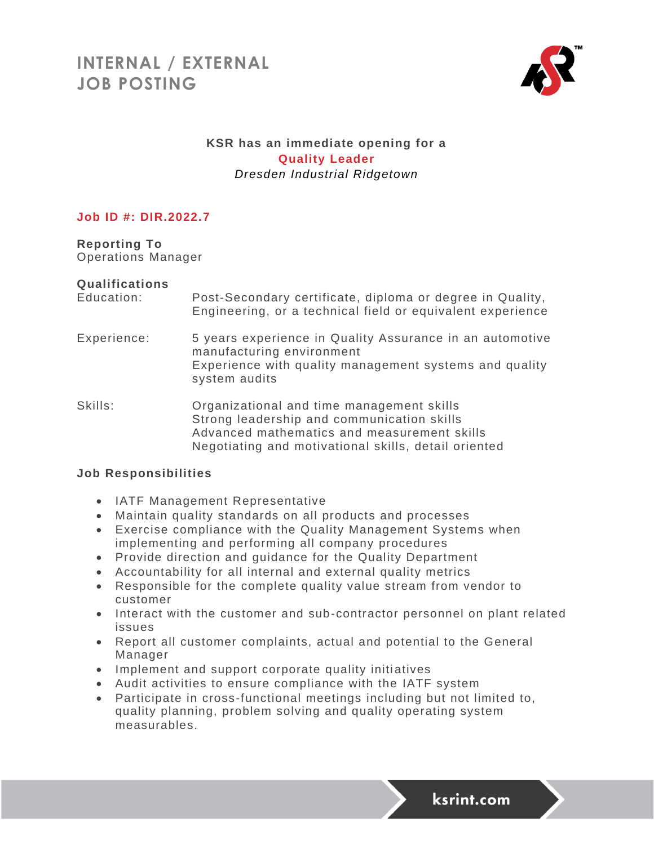

## **KSR has an immediate opening for a Quality Leader** *Dresden Industrial Ridgetown*

## **Job ID #: DIR.2022.7**

**Reporting To** Operations Manager

#### **Qualifications**

| Education: | Post-Secondary certificate, diploma or degree in Quality,  |  |  |  |  |
|------------|------------------------------------------------------------|--|--|--|--|
|            | Engineering, or a technical field or equivalent experience |  |  |  |  |

Experience: 5 years experience in Quality Assurance in an automotive manufacturing environment Experience with quality management systems and quality system audits

Skills: Organizational and time management skills Strong leadership and communication skills Advanced mathematics and measurement skills Negotiating and motivational skills, detail oriented

#### **Job Responsibilities**

- IATF Management Representative
- Maintain quality standards on all products and processes
- Exercise compliance with the Quality Management Systems when implementing and performing all company procedures
- Provide direction and guidance for the Quality Department
- Accountability for all internal and external quality metrics
- Responsible for the complete quality value stream from vendor to customer
- Interact with the customer and sub-contractor personnel on plant related issues
- Report all customer complaints, actual and potential to the General Manager
- Implement and support corporate quality initiatives
- Audit activities to ensure compliance with the IATF system
- Participate in cross-functional meetings including but not limited to, quality planning, problem solving and quality operating system measurables.

ksrint.com